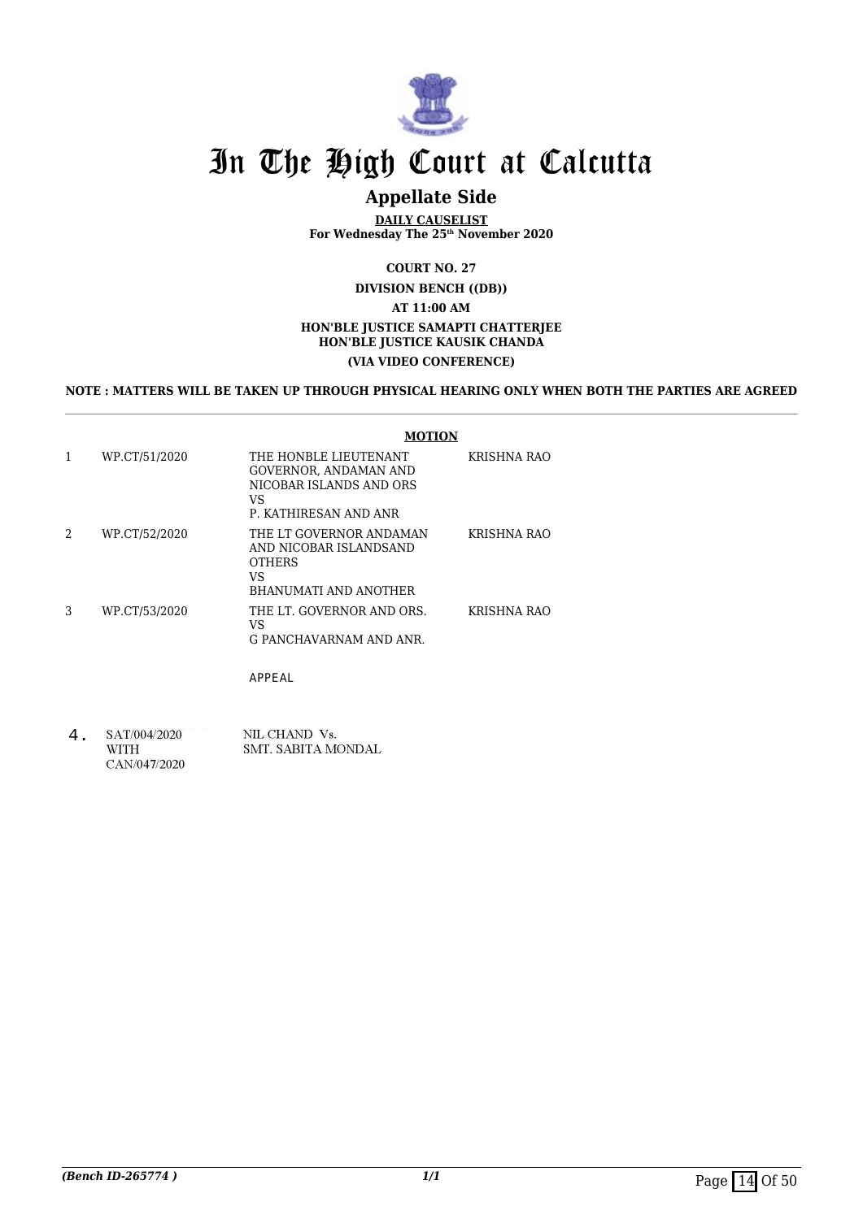

# In The High Court at Calcutta

# **Appellate Side**

**DAILY CAUSELIST For Wednesday The 25th November 2020**

**COURT NO. 27**

**DIVISION BENCH ((DB))**

**AT 11:00 AM**

#### **HON'BLE JUSTICE SAMAPTI CHATTERJEE HON'BLE JUSTICE KAUSIK CHANDA**

#### **(VIA VIDEO CONFERENCE)**

#### **NOTE : MATTERS WILL BE TAKEN UP THROUGH PHYSICAL HEARING ONLY WHEN BOTH THE PARTIES ARE AGREED**

|   |               | <b>MOTION</b>                                                                                            |                    |
|---|---------------|----------------------------------------------------------------------------------------------------------|--------------------|
|   | WP.CT/51/2020 | THE HONBLE LIEUTENANT<br>GOVERNOR, ANDAMAN AND<br>NICOBAR ISLANDS AND ORS<br>VS<br>P. KATHIRESAN AND ANR | KRISHNA RAO        |
| 2 | WP.CT/52/2020 | THE LT GOVERNOR ANDAMAN<br>AND NICOBAR ISLANDSAND<br><b>OTHERS</b><br>VS<br><b>BHANUMATI AND ANOTHER</b> | <b>KRISHNA RAO</b> |
| 3 | WP.CT/53/2020 | THE LT. GOVERNOR AND ORS.<br>VS<br>G PANCHAVARNAM AND ANR.                                               | KRISHNA RAO        |

APPEAL

4.SAT/004/2020 NIL CHAND Vs. **WITH** SMT. SABITA MONDAL CAN/047/2020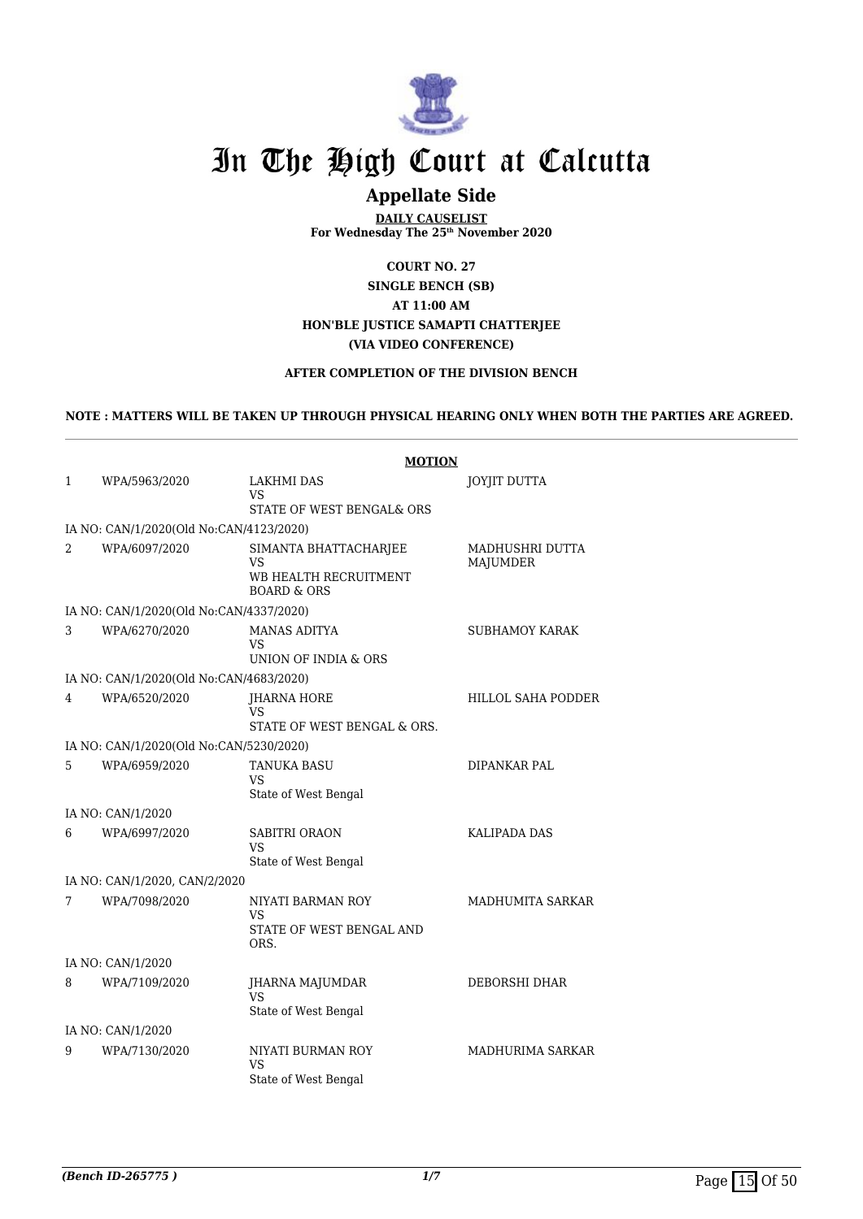

# In The High Court at Calcutta

# **Appellate Side**

**DAILY CAUSELIST For Wednesday The 25th November 2020**

**COURT NO. 27 SINGLE BENCH (SB) AT 11:00 AM HON'BLE JUSTICE SAMAPTI CHATTERJEE (VIA VIDEO CONFERENCE)**

### **AFTER COMPLETION OF THE DIVISION BENCH**

#### **NOTE : MATTERS WILL BE TAKEN UP THROUGH PHYSICAL HEARING ONLY WHEN BOTH THE PARTIES ARE AGREED.**

|                   |                                         | <b>MOTION</b>                                                                  |                             |
|-------------------|-----------------------------------------|--------------------------------------------------------------------------------|-----------------------------|
| 1                 | WPA/5963/2020                           | <b>LAKHMI DAS</b>                                                              | JOYJIT DUTTA                |
|                   |                                         | VS<br>STATE OF WEST BENGAL& ORS                                                |                             |
|                   | IA NO: CAN/1/2020(Old No:CAN/4123/2020) |                                                                                |                             |
| 2                 | WPA/6097/2020                           | SIMANTA BHATTACHARJEE<br>VS<br>WB HEALTH RECRUITMENT<br><b>BOARD &amp; ORS</b> | MADHUSHRI DUTTA<br>MAJUMDER |
|                   | IA NO: CAN/1/2020(Old No:CAN/4337/2020) |                                                                                |                             |
| 3                 | WPA/6270/2020                           | <b>MANAS ADITYA</b><br>VS.<br>UNION OF INDIA & ORS                             | SUBHAMOY KARAK              |
|                   | IA NO: CAN/1/2020(Old No:CAN/4683/2020) |                                                                                |                             |
| 4                 | WPA/6520/2020                           | JHARNA HORE<br>VS<br>STATE OF WEST BENGAL & ORS.                               | HILLOL SAHA PODDER          |
|                   | IA NO: CAN/1/2020(Old No:CAN/5230/2020) |                                                                                |                             |
| 5                 | WPA/6959/2020                           | <b>TANUKA BASU</b><br><b>VS</b><br>State of West Bengal                        | <b>DIPANKAR PAL</b>         |
|                   | IA NO: CAN/1/2020                       |                                                                                |                             |
| 6                 | WPA/6997/2020                           | SABITRI ORAON<br><b>VS</b><br>State of West Bengal                             | <b>KALIPADA DAS</b>         |
|                   | IA NO: CAN/1/2020, CAN/2/2020           |                                                                                |                             |
| 7                 | WPA/7098/2020                           | NIYATI BARMAN ROY<br>VS<br>STATE OF WEST BENGAL AND<br>ORS.                    | MADHUMITA SARKAR            |
| IA NO: CAN/1/2020 |                                         |                                                                                |                             |
| 8                 | WPA/7109/2020                           | JHARNA MAJUMDAR<br><b>VS</b><br>State of West Bengal                           | DEBORSHI DHAR               |
| IA NO: CAN/1/2020 |                                         |                                                                                |                             |
| 9                 | WPA/7130/2020                           | NIYATI BURMAN ROY<br>VS<br>State of West Bengal                                | MADHURIMA SARKAR            |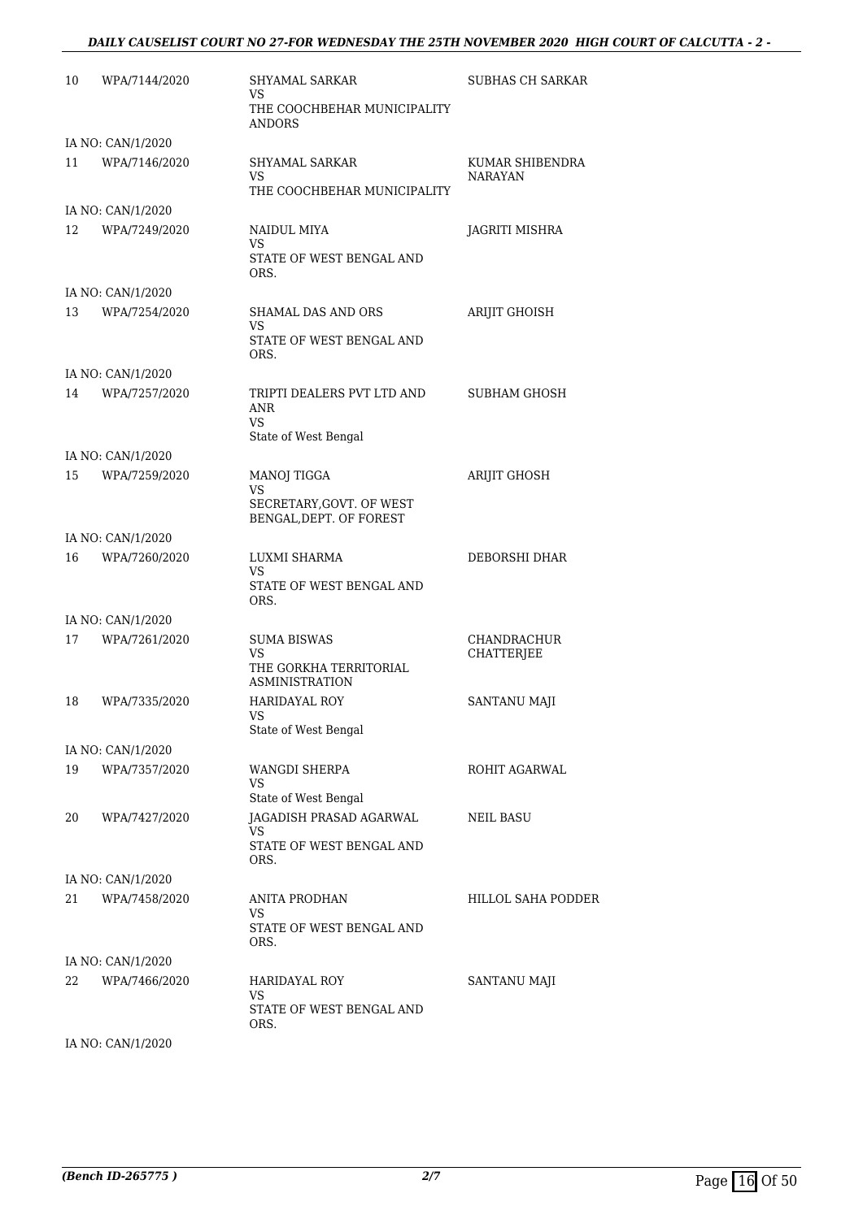# *DAILY CAUSELIST COURT NO 27-FOR WEDNESDAY THE 25TH NOVEMBER 2020 HIGH COURT OF CALCUTTA - 2 -*

| 10 | WPA/7144/2020     | SHYAMAL SARKAR<br>VS                                | SUBHAS CH SARKAR                  |
|----|-------------------|-----------------------------------------------------|-----------------------------------|
|    |                   | THE COOCHBEHAR MUNICIPALITY<br>ANDORS               |                                   |
|    | IA NO: CAN/1/2020 |                                                     |                                   |
| 11 | WPA/7146/2020     | SHYAMAL SARKAR<br>VS<br>THE COOCHBEHAR MUNICIPALITY | KUMAR SHIBENDRA<br><b>NARAYAN</b> |
|    | IA NO: CAN/1/2020 |                                                     |                                   |
| 12 | WPA/7249/2020     | NAIDUL MIYA                                         | JAGRITI MISHRA                    |
|    |                   | VS<br>STATE OF WEST BENGAL AND<br>ORS.              |                                   |
|    | IA NO: CAN/1/2020 |                                                     |                                   |
| 13 | WPA/7254/2020     | SHAMAL DAS AND ORS<br>VS                            | ARIJIT GHOISH                     |
|    |                   | STATE OF WEST BENGAL AND<br>ORS.                    |                                   |
|    | IA NO: CAN/1/2020 |                                                     |                                   |
| 14 | WPA/7257/2020     | TRIPTI DEALERS PVT LTD AND<br>ANR<br>VS.            | <b>SUBHAM GHOSH</b>               |
|    |                   | State of West Bengal                                |                                   |
|    | IA NO: CAN/1/2020 |                                                     |                                   |
| 15 | WPA/7259/2020     | <b>MANOJ TIGGA</b><br>VS                            | <b>ARIJIT GHOSH</b>               |
|    |                   | SECRETARY, GOVT. OF WEST<br>BENGAL, DEPT. OF FOREST |                                   |
|    | IA NO: CAN/1/2020 |                                                     |                                   |
| 16 | WPA/7260/2020     | LUXMI SHARMA                                        | DEBORSHI DHAR                     |
|    |                   | VS<br>STATE OF WEST BENGAL AND<br>ORS.              |                                   |
|    | IA NO: CAN/1/2020 |                                                     |                                   |
| 17 | WPA/7261/2020     | <b>SUMA BISWAS</b>                                  | <b>CHANDRACHUR</b>                |
|    |                   | VS                                                  | CHATTERJEE                        |
|    |                   | THE GORKHA TERRITORIAL<br><b>ASMINISTRATION</b>     |                                   |
| 18 | WPA/7335/2020     | <b>HARIDAYAL ROY</b><br>VS                          | SANTANU MAJI                      |
|    |                   | State of West Bengal                                |                                   |
|    | IA NO: CAN/1/2020 |                                                     |                                   |
| 19 | WPA/7357/2020     | WANGDI SHERPA<br>VS<br>State of West Bengal         | ROHIT AGARWAL                     |
| 20 | WPA/7427/2020     | JAGADISH PRASAD AGARWAL                             | NEIL BASU                         |
|    |                   | VS                                                  |                                   |
|    |                   | STATE OF WEST BENGAL AND<br>ORS.                    |                                   |
|    | IA NO: CAN/1/2020 |                                                     |                                   |
| 21 | WPA/7458/2020     | <b>ANITA PRODHAN</b><br>VS                          | HILLOL SAHA PODDER                |
|    |                   | STATE OF WEST BENGAL AND<br>ORS.                    |                                   |
|    | IA NO: CAN/1/2020 |                                                     |                                   |
| 22 | WPA/7466/2020     | <b>HARIDAYAL ROY</b><br>VS                          | SANTANU MAJI                      |
|    |                   | STATE OF WEST BENGAL AND<br>ORS.                    |                                   |

IA NO: CAN/1/2020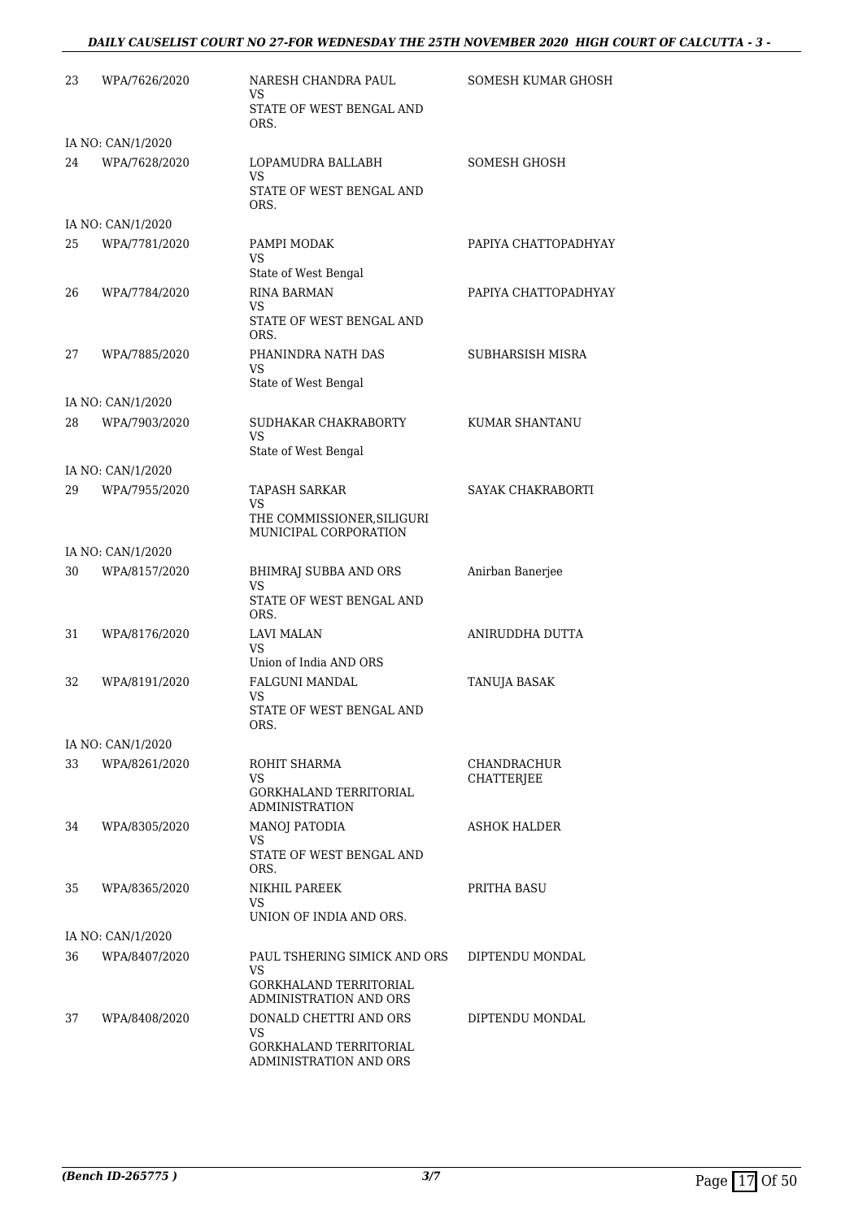# *DAILY CAUSELIST COURT NO 27-FOR WEDNESDAY THE 25TH NOVEMBER 2020 HIGH COURT OF CALCUTTA - 3 -*

| 23 | WPA/7626/2020                      | NARESH CHANDRA PAUL<br>VS                           | SOMESH KUMAR GHOSH               |
|----|------------------------------------|-----------------------------------------------------|----------------------------------|
|    |                                    | STATE OF WEST BENGAL AND<br>ORS.                    |                                  |
|    | IA NO: CAN/1/2020                  |                                                     |                                  |
| 24 | WPA/7628/2020                      | LOPAMUDRA BALLABH<br>VS                             | SOMESH GHOSH                     |
|    |                                    | STATE OF WEST BENGAL AND<br>ORS.                    |                                  |
|    | IA NO: CAN/1/2020                  |                                                     |                                  |
| 25 | WPA/7781/2020                      | PAMPI MODAK<br>VS                                   | PAPIYA CHATTOPADHYAY             |
|    |                                    | State of West Bengal                                |                                  |
| 26 | WPA/7784/2020                      | RINA BARMAN<br>VS                                   | PAPIYA CHATTOPADHYAY             |
|    |                                    | STATE OF WEST BENGAL AND<br>ORS.                    |                                  |
| 27 | WPA/7885/2020                      | PHANINDRA NATH DAS<br>VS                            | SUBHARSISH MISRA                 |
|    |                                    | State of West Bengal                                |                                  |
| 28 | IA NO: CAN/1/2020<br>WPA/7903/2020 | SUDHAKAR CHAKRABORTY<br><b>VS</b>                   | KUMAR SHANTANU                   |
|    |                                    | State of West Bengal                                |                                  |
|    | IA NO: CAN/1/2020                  |                                                     |                                  |
| 29 | WPA/7955/2020                      | <b>TAPASH SARKAR</b><br>VS                          | SAYAK CHAKRABORTI                |
|    |                                    | THE COMMISSIONER, SILIGURI<br>MUNICIPAL CORPORATION |                                  |
|    | IA NO: CAN/1/2020                  |                                                     |                                  |
| 30 | WPA/8157/2020                      | BHIMRAJ SUBBA AND ORS<br>VS                         | Anirban Banerjee                 |
|    |                                    | STATE OF WEST BENGAL AND<br>ORS.                    |                                  |
| 31 | WPA/8176/2020                      | LAVI MALAN<br>VS                                    | ANIRUDDHA DUTTA                  |
|    |                                    | Union of India AND ORS                              |                                  |
| 32 | WPA/8191/2020                      | FALGUNI MANDAL<br>VS<br>STATE OF WEST BENGAL AND    | TANUJA BASAK                     |
|    |                                    | ORS.                                                |                                  |
|    | IA NO: CAN/1/2020                  |                                                     |                                  |
| 33 | WPA/8261/2020                      | ROHIT SHARMA<br>VS.                                 | <b>CHANDRACHUR</b><br>CHATTERJEE |
|    |                                    | GORKHALAND TERRITORIAL<br><b>ADMINISTRATION</b>     |                                  |
| 34 | WPA/8305/2020                      | <b>MANOJ PATODIA</b><br>VS                          | ASHOK HALDER                     |
|    |                                    | STATE OF WEST BENGAL AND<br>ORS.                    |                                  |
| 35 | WPA/8365/2020                      | NIKHIL PAREEK<br>VS                                 | PRITHA BASU                      |
|    |                                    | UNION OF INDIA AND ORS.                             |                                  |
|    | IA NO: CAN/1/2020                  |                                                     |                                  |
| 36 | WPA/8407/2020                      | PAUL TSHERING SIMICK AND ORS<br>VS                  | DIPTENDU MONDAL                  |
|    |                                    | GORKHALAND TERRITORIAL<br>ADMINISTRATION AND ORS    |                                  |
| 37 | WPA/8408/2020                      | DONALD CHETTRI AND ORS<br>VS.                       | DIPTENDU MONDAL                  |
|    |                                    | GORKHALAND TERRITORIAL<br>ADMINISTRATION AND ORS    |                                  |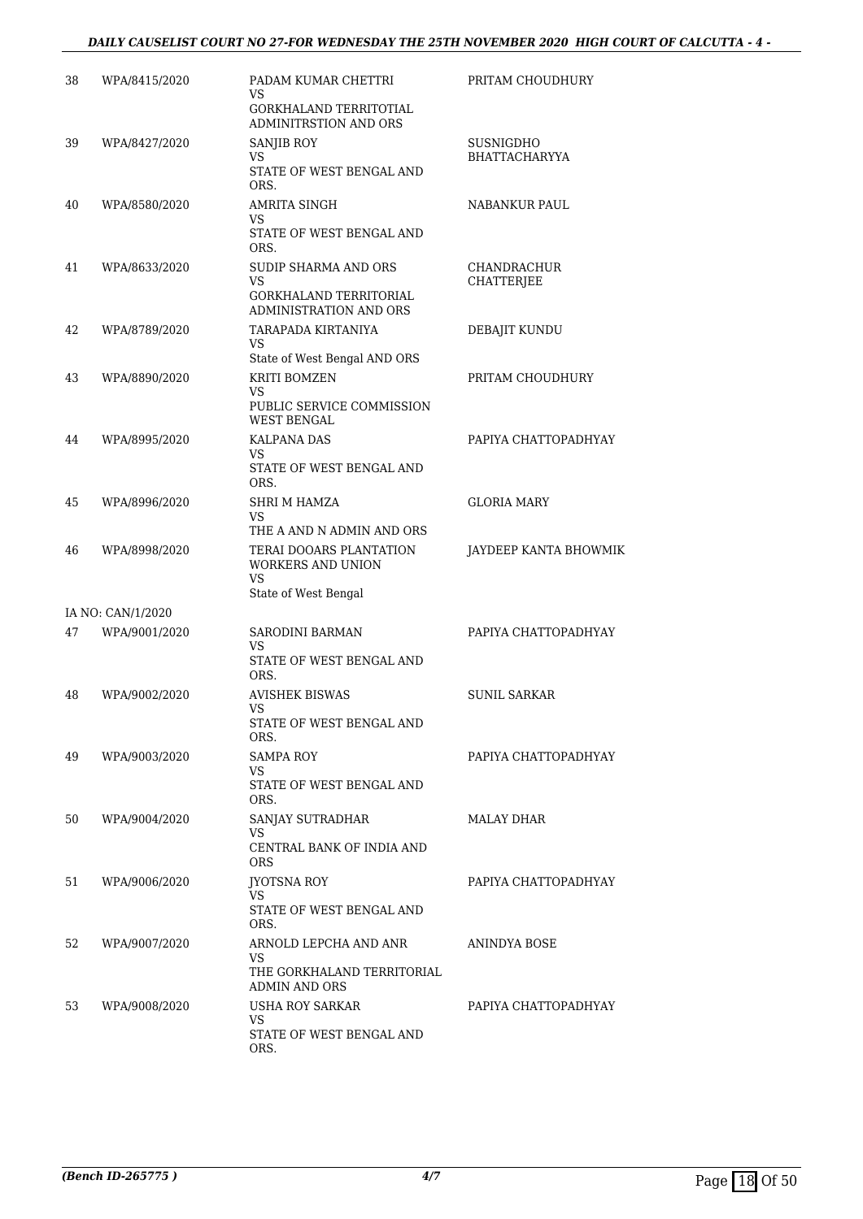# *DAILY CAUSELIST COURT NO 27-FOR WEDNESDAY THE 25TH NOVEMBER 2020 HIGH COURT OF CALCUTTA - 4 -*

| 38 | WPA/8415/2020     | PADAM KUMAR CHETTRI<br>VS<br>GORKHALAND TERRITOTIAL<br>ADMINITRSTION AND ORS             | PRITAM CHOUDHURY                 |
|----|-------------------|------------------------------------------------------------------------------------------|----------------------------------|
| 39 | WPA/8427/2020     | <b>SANJIB ROY</b><br>VS<br>STATE OF WEST BENGAL AND<br>ORS.                              | SUSNIGDHO<br>BHATTACHARYYA       |
| 40 | WPA/8580/2020     | AMRITA SINGH<br>VS<br>STATE OF WEST BENGAL AND<br>ORS.                                   | NABANKUR PAUL                    |
| 41 | WPA/8633/2020     | SUDIP SHARMA AND ORS<br>VS<br><b>GORKHALAND TERRITORIAL</b><br>ADMINISTRATION AND ORS    | CHANDRACHUR<br><b>CHATTERJEE</b> |
| 42 | WPA/8789/2020     | TARAPADA KIRTANIYA<br>VS<br>State of West Bengal AND ORS                                 | DEBAJIT KUNDU                    |
| 43 | WPA/8890/2020     | KRITI BOMZEN<br>VS<br>PUBLIC SERVICE COMMISSION<br><b>WEST BENGAL</b>                    | PRITAM CHOUDHURY                 |
| 44 | WPA/8995/2020     | <b>KALPANA DAS</b><br>VS.<br>STATE OF WEST BENGAL AND<br>ORS.                            | PAPIYA CHATTOPADHYAY             |
| 45 | WPA/8996/2020     | SHRI M HAMZA<br>VS<br>THE A AND N ADMIN AND ORS                                          | <b>GLORIA MARY</b>               |
| 46 | WPA/8998/2020     | TERAI DOOARS PLANTATION<br><b>WORKERS AND UNION</b><br><b>VS</b><br>State of West Bengal | JAYDEEP KANTA BHOWMIK            |
|    | IA NO: CAN/1/2020 |                                                                                          |                                  |
| 47 | WPA/9001/2020     | SARODINI BARMAN<br>VS<br>STATE OF WEST BENGAL AND                                        | PAPIYA CHATTOPADHYAY             |
| 48 | WPA/9002/2020     | ORS.<br><b>AVISHEK BISWAS</b><br>VS<br>STATE OF WEST BENGAL AND<br>ORS.                  | <b>SUNIL SARKAR</b>              |
| 49 | WPA/9003/2020     | SAMPA ROY<br>VS<br>STATE OF WEST BENGAL AND<br>ORS.                                      | PAPIYA CHATTOPADHYAY             |
| 50 | WPA/9004/2020     | SANJAY SUTRADHAR<br>VS<br>CENTRAL BANK OF INDIA AND<br><b>ORS</b>                        | MALAY DHAR                       |
| 51 | WPA/9006/2020     | JYOTSNA ROY<br>VS<br>STATE OF WEST BENGAL AND<br>ORS.                                    | PAPIYA CHATTOPADHYAY             |
| 52 | WPA/9007/2020     | ARNOLD LEPCHA AND ANR<br>VS.<br>THE GORKHALAND TERRITORIAL<br>ADMIN AND ORS              | ANINDYA BOSE                     |
| 53 | WPA/9008/2020     | USHA ROY SARKAR<br>VS<br>STATE OF WEST BENGAL AND<br>ORS.                                | PAPIYA CHATTOPADHYAY             |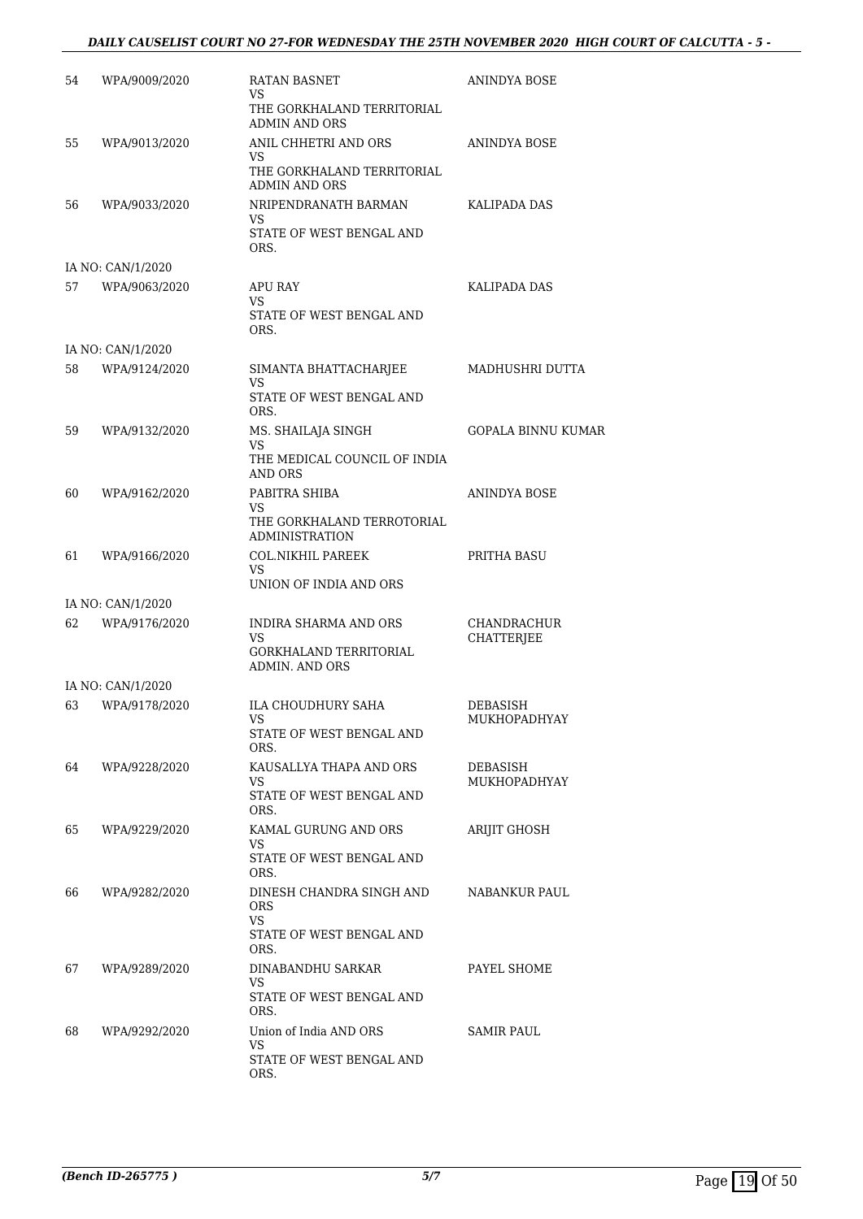# *DAILY CAUSELIST COURT NO 27-FOR WEDNESDAY THE 25TH NOVEMBER 2020 HIGH COURT OF CALCUTTA - 5 -*

| 54 | WPA/9009/2020     | <b>RATAN BASNET</b><br>VS<br>THE GORKHALAND TERRITORIAL                     | ANINDYA BOSE              |
|----|-------------------|-----------------------------------------------------------------------------|---------------------------|
| 55 | WPA/9013/2020     | ADMIN AND ORS<br>ANIL CHHETRI AND ORS                                       | ANINDYA BOSE              |
|    |                   | VS<br>THE GORKHALAND TERRITORIAL<br><b>ADMIN AND ORS</b>                    |                           |
| 56 | WPA/9033/2020     | NRIPENDRANATH BARMAN<br>VS.<br>STATE OF WEST BENGAL AND<br>ORS.             | KALIPADA DAS              |
|    | IA NO: CAN/1/2020 |                                                                             |                           |
| 57 | WPA/9063/2020     | APU RAY<br>VS.<br>STATE OF WEST BENGAL AND<br>ORS.                          | KALIPADA DAS              |
|    | IA NO: CAN/1/2020 |                                                                             |                           |
| 58 | WPA/9124/2020     | SIMANTA BHATTACHARJEE<br>VS                                                 | MADHUSHRI DUTTA           |
|    |                   | STATE OF WEST BENGAL AND<br>ORS.                                            |                           |
| 59 | WPA/9132/2020     | MS. SHAILAJA SINGH<br>VS                                                    | <b>GOPALA BINNU KUMAR</b> |
|    |                   | THE MEDICAL COUNCIL OF INDIA<br><b>AND ORS</b>                              |                           |
| 60 | WPA/9162/2020     | PABITRA SHIBA                                                               | ANINDYA BOSE              |
|    |                   | VS<br>THE GORKHALAND TERROTORIAL<br>ADMINISTRATION                          |                           |
| 61 | WPA/9166/2020     | <b>COL.NIKHIL PAREEK</b><br>VS                                              | PRITHA BASU               |
|    |                   | UNION OF INDIA AND ORS                                                      |                           |
| 62 | IA NO: CAN/1/2020 | INDIRA SHARMA AND ORS                                                       |                           |
|    | WPA/9176/2020     | VS<br><b>GORKHALAND TERRITORIAL</b>                                         | CHANDRACHUR<br>CHATTERJEE |
|    | IA NO: CAN/1/2020 | ADMIN. AND ORS                                                              |                           |
| 63 | WPA/9178/2020     | ILA CHOUDHURY SAHA                                                          | <b>DEBASISH</b>           |
|    |                   | STATE OF WEST BENGAL AND                                                    | MUKHOPADHYAY              |
| 64 | WPA/9228/2020     | ORS.<br>KAUSALLYA THAPA AND ORS                                             | DEBASISH                  |
|    |                   | VS.<br>STATE OF WEST BENGAL AND<br>ORS.                                     | MUKHOPADHYAY              |
| 65 | WPA/9229/2020     | KAMAL GURUNG AND ORS<br>VS                                                  | <b>ARIJIT GHOSH</b>       |
|    |                   | STATE OF WEST BENGAL AND<br>ORS.                                            |                           |
| 66 | WPA/9282/2020     | DINESH CHANDRA SINGH AND<br>ORS.<br>VS.<br>STATE OF WEST BENGAL AND<br>ORS. | <b>NABANKUR PAUL</b>      |
| 67 | WPA/9289/2020     | DINABANDHU SARKAR                                                           | PAYEL SHOME               |
|    |                   | VS<br>STATE OF WEST BENGAL AND<br>ORS.                                      |                           |
| 68 | WPA/9292/2020     | Union of India AND ORS                                                      | SAMIR PAUL                |
|    |                   | VS<br>STATE OF WEST BENGAL AND<br>ORS.                                      |                           |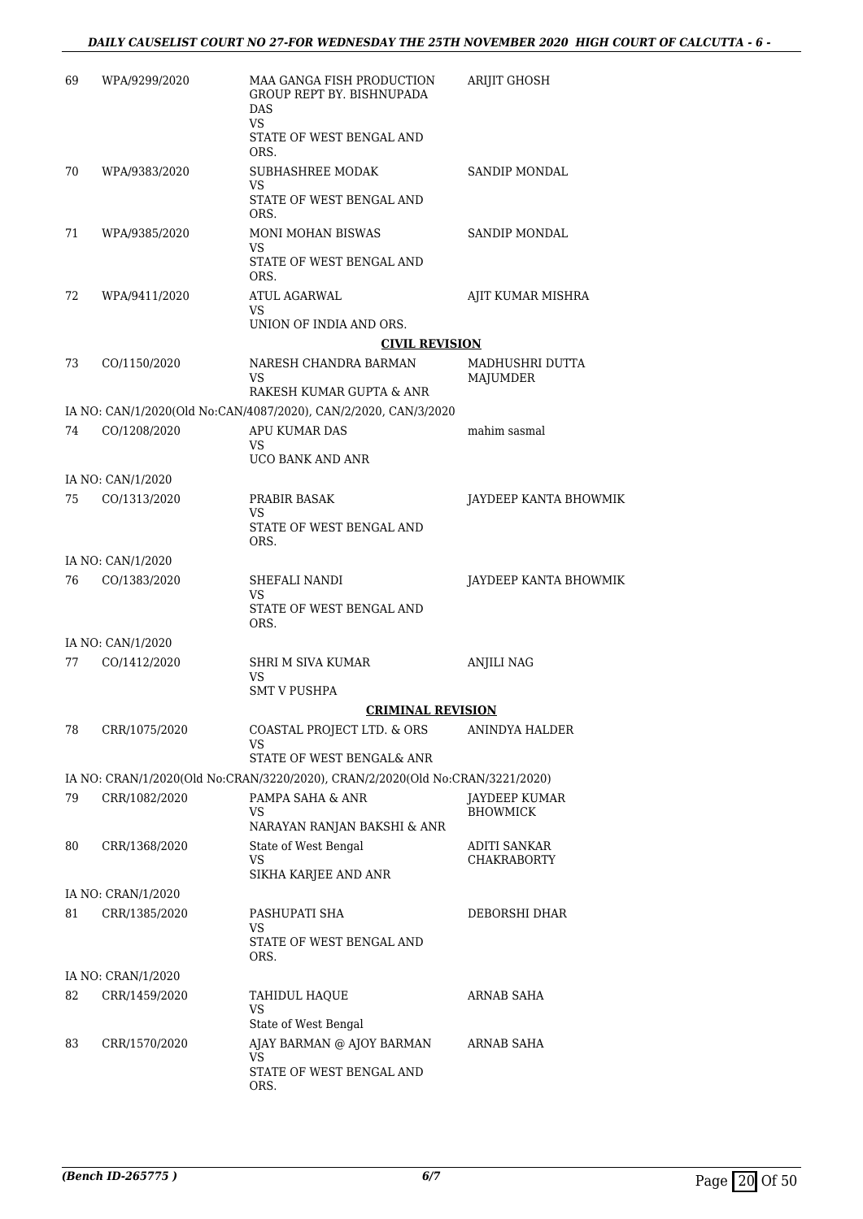| 69 | WPA/9299/2020                     | MAA GANGA FISH PRODUCTION<br>GROUP REPT BY. BISHNUPADA<br><b>DAS</b><br>VS<br>STATE OF WEST BENGAL AND | ARIJIT GHOSH                            |
|----|-----------------------------------|--------------------------------------------------------------------------------------------------------|-----------------------------------------|
| 70 | WPA/9383/2020                     | ORS.<br>SUBHASHREE MODAK                                                                               | SANDIP MONDAL                           |
|    |                                   | VS.                                                                                                    |                                         |
|    |                                   | STATE OF WEST BENGAL AND<br>ORS.                                                                       |                                         |
| 71 | WPA/9385/2020                     | <b>MONI MOHAN BISWAS</b>                                                                               | SANDIP MONDAL                           |
|    |                                   | VS<br>STATE OF WEST BENGAL AND<br>ORS.                                                                 |                                         |
| 72 | WPA/9411/2020                     | ATUL AGARWAL                                                                                           | AJIT KUMAR MISHRA                       |
|    |                                   | VS<br>UNION OF INDIA AND ORS.                                                                          |                                         |
|    |                                   | <b>CIVIL REVISION</b>                                                                                  |                                         |
| 73 | CO/1150/2020                      | NARESH CHANDRA BARMAN<br>VS<br>RAKESH KUMAR GUPTA & ANR                                                | MADHUSHRI DUTTA<br>MAJUMDER             |
|    |                                   | IA NO: CAN/1/2020(Old No:CAN/4087/2020), CAN/2/2020, CAN/3/2020                                        |                                         |
| 74 | CO/1208/2020                      | APU KUMAR DAS                                                                                          | mahim sasmal                            |
|    |                                   | VS<br>UCO BANK AND ANR                                                                                 |                                         |
|    | IA NO: CAN/1/2020                 |                                                                                                        |                                         |
| 75 | CO/1313/2020                      | PRABIR BASAK                                                                                           | JAYDEEP KANTA BHOWMIK                   |
|    |                                   | VS<br>STATE OF WEST BENGAL AND<br>ORS.                                                                 |                                         |
|    | IA NO: CAN/1/2020                 |                                                                                                        |                                         |
| 76 | CO/1383/2020                      | SHEFALI NANDI<br>VS<br>STATE OF WEST BENGAL AND                                                        | JAYDEEP KANTA BHOWMIK                   |
|    |                                   | ORS.                                                                                                   |                                         |
| 77 | IA NO: CAN/1/2020<br>CO/1412/2020 | SHRI M SIVA KUMAR                                                                                      | <b>ANJILI NAG</b>                       |
|    |                                   | VS<br><b>SMT V PUSHPA</b>                                                                              |                                         |
|    |                                   | <b>CRIMINAL REVISION</b>                                                                               |                                         |
| 78 | CRR/1075/2020                     | COASTAL PROJECT LTD. & ORS<br>VS.                                                                      | ANINDYA HALDER                          |
|    |                                   | STATE OF WEST BENGAL& ANR                                                                              |                                         |
|    |                                   | IA NO: CRAN/1/2020(Old No:CRAN/3220/2020), CRAN/2/2020(Old No:CRAN/3221/2020)<br>PAMPA SAHA & ANR      |                                         |
| 79 | CRR/1082/2020                     | VS                                                                                                     | <b>JAYDEEP KUMAR</b><br><b>BHOWMICK</b> |
|    |                                   | NARAYAN RANJAN BAKSHI & ANR                                                                            |                                         |
| 80 | CRR/1368/2020                     | State of West Bengal<br>VS                                                                             | ADITI SANKAR<br><b>CHAKRABORTY</b>      |
|    |                                   | SIKHA KARJEE AND ANR                                                                                   |                                         |
|    | IA NO: CRAN/1/2020                |                                                                                                        |                                         |
| 81 | CRR/1385/2020                     | PASHUPATI SHA<br>VS<br>STATE OF WEST BENGAL AND                                                        | DEBORSHI DHAR                           |
|    |                                   | ORS.                                                                                                   |                                         |
|    | IA NO: CRAN/1/2020                |                                                                                                        |                                         |
| 82 | CRR/1459/2020                     | TAHIDUL HAQUE<br>VS<br>State of West Bengal                                                            | ARNAB SAHA                              |
| 83 | CRR/1570/2020                     | AJAY BARMAN @ AJOY BARMAN                                                                              | ARNAB SAHA                              |
|    |                                   | VS<br>STATE OF WEST BENGAL AND<br>ORS.                                                                 |                                         |